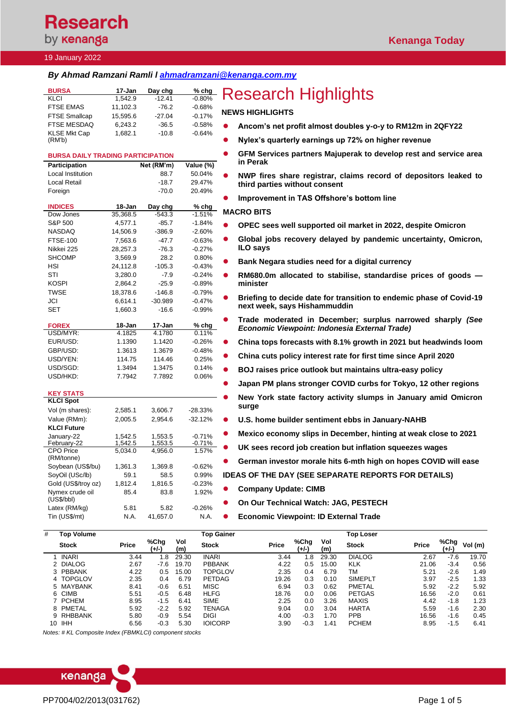# **Research** by **kenanga**

## 19 January 2022

## *By Ahmad Ramzani Ramli l [ahmadramzani@kenanga.com.my](mailto:ahmadramzani@kenanga.com.my)*

| <b>BURSA</b><br><b>KLCI</b>               | 17-Jan<br>1,542.9   | Day chg<br>$-12.41$ | % chg<br>$-0.80%$    | <b>Research Highlights</b>                                                                                  |
|-------------------------------------------|---------------------|---------------------|----------------------|-------------------------------------------------------------------------------------------------------------|
| <b>FTSE EMAS</b>                          | 11,102.3            | $-76.2$             | $-0.68%$             |                                                                                                             |
| <b>FTSE Smallcap</b>                      | 15,595.6            | $-27.04$            | $-0.17%$             | <b>NEWS HIGHLIGHTS</b>                                                                                      |
| FTSE MESDAQ                               | 6,243.2             | $-36.5$             | $-0.58%$             | Ancom's net profit almost doubles y-o-y to RM12m in 2QFY22                                                  |
| <b>KLSE Mkt Cap</b>                       | 1,682.1             | $-10.8$             | $-0.64%$             |                                                                                                             |
| (RM'b)                                    |                     |                     |                      | Nylex's quarterly earnings up 72% on higher revenue                                                         |
| <b>BURSA DAILY TRADING PARTICIPATION</b>  |                     |                     |                      | GFM Services partners Majuperak to develop rest and service area<br>in Perak                                |
| <b>Participation</b><br>Local Institution |                     | Net (RM'm)          | Value (%)            |                                                                                                             |
| Local Retail                              |                     | 88.7<br>$-18.7$     | 50.04%<br>29.47%     | NWP fires share registrar, claims record of depositors leaked to                                            |
| Foreign                                   |                     | $-70.0$             | 20.49%               | third parties without consent                                                                               |
|                                           |                     |                     |                      | Improvement in TAS Offshore's bottom line                                                                   |
| <b>INDICES</b>                            | 18-Jan              | Day chg             | % chg                | <b>MACRO BITS</b>                                                                                           |
| Dow Jones                                 | 35,368.5            | $-543.3$            | $-1.51%$             |                                                                                                             |
| S&P 500<br><b>NASDAQ</b>                  | 4,577.1             | $-85.7$<br>$-386.9$ | $-1.84%$<br>$-2.60%$ | OPEC sees well supported oil market in 2022, despite Omicron                                                |
| <b>FTSE-100</b>                           | 14,506.9<br>7,563.6 | $-47.7$             | $-0.63%$             | Global jobs recovery delayed by pandemic uncertainty, Omicron,                                              |
| Nikkei 225                                | 28,257.3            | $-76.3$             | $-0.27%$             | ILO says                                                                                                    |
| <b>SHCOMP</b>                             | 3,569.9             | 28.2                | 0.80%                |                                                                                                             |
| HSI                                       | 24,112.8            | $-105.3$            | $-0.43%$             | Bank Negara studies need for a digital currency                                                             |
| STI                                       | 3,280.0             | $-7.9$              | $-0.24%$             | RM680.0m allocated to stabilise, standardise prices of goods -                                              |
| <b>KOSPI</b>                              | 2,864.2             | $-25.9$             | $-0.89%$             | minister                                                                                                    |
| <b>TWSE</b>                               | 18,378.6            | $-146.8$            | $-0.79%$             | Briefing to decide date for transition to endemic phase of Covid-19                                         |
| JCI                                       | 6,614.1             | $-30.989$           | $-0.47%$             | next week, says Hishammuddin                                                                                |
| SET                                       | 1,660.3             | $-16.6$             | $-0.99%$             |                                                                                                             |
| <b>FOREX</b><br>USD/MYR:                  | 18-Jan<br>4.1825    | 17-Jan<br>4.1780    | $%$ chg<br>0.11%     | Trade moderated in December; surplus narrowed sharply (See<br>Economic Viewpoint: Indonesia External Trade) |
| EUR/USD:                                  | 1.1390              | 1.1420              | $-0.26%$             | China tops forecasts with 8.1% growth in 2021 but headwinds loom                                            |
| GBP/USD:                                  | 1.3613              | 1.3679              | $-0.48%$             |                                                                                                             |
| USD/YEN:                                  | 114.75              | 114.46              | 0.25%                | China cuts policy interest rate for first time since April 2020                                             |
| USD/SGD:                                  | 1.3494              | 1.3475              | 0.14%                | BOJ raises price outlook but maintains ultra-easy policy                                                    |
| USD/HKD:                                  | 7.7942              | 7.7892              | 0.06%                |                                                                                                             |
|                                           |                     |                     |                      | Japan PM plans stronger COVID curbs for Tokyo, 12 other regions                                             |
| <b>KEY STATS</b><br><b>KLCI Spot</b>      |                     |                     |                      | New York state factory activity slumps in January amid Omicron                                              |
| Vol (m shares):                           | 2,585.1             | 3,606.7             | $-28.33%$            | surge                                                                                                       |
| Value (RMm):                              | 2,005.5             | 2,954.6             | $-32.12%$            | U.S. home builder sentiment ebbs in January-NAHB                                                            |
| <b>KLCI Future</b>                        |                     |                     |                      |                                                                                                             |
| January-22                                | 1,542.5             | 1,553.5             | $-0.71%$             | Mexico economy slips in December, hinting at weak close to 2021                                             |
| February-22<br><b>CPO Price</b>           | 1,542.5<br>5.034.0  | 1,553.5             | -0.71%<br>1.57%      | UK sees record job creation but inflation squeezes wages                                                    |
| (RM/tonne)                                |                     | 4,956.0             |                      | German investor morale hits 6-mth high on hopes COVID will ease                                             |
| Soybean (US\$/bu)                         | 1,361.3             | 1,369.8             | $-0.62%$             |                                                                                                             |
| SoyOil (USc/lb)                           | 59.1                | 58.5                | 0.99%                | <b>IDEAS OF THE DAY (SEE SEPARATE REPORTS FOR DETAILS)</b>                                                  |
| Gold (US\$/troy oz)                       | 1,812.4             | 1,816.5             | -0.23%               | <b>Company Update: CIMB</b>                                                                                 |
| Nymex crude oil<br>(US\$/bb)              | 85.4                | 83.8                | 1.92%                | On Our Technical Watch: JAG, PESTECH                                                                        |
| Latex (RM/kg)                             | 5.81                | 5.82                | $-0.26%$             |                                                                                                             |
| Tin (US\$/mt)                             | N.A.                | 41,657.0            | N.A.                 | <b>Economic Viewpoint: ID External Trade</b>                                                                |
| <b>Top Volume</b><br>#                    |                     |                     | <b>Top Gainer</b>    | <b>Top Loser</b>                                                                                            |

| # | Top Volume   |              |               |            | <b>Top Gainer</b> |              |               |            | <b>Top Loser</b> |              |               |         |
|---|--------------|--------------|---------------|------------|-------------------|--------------|---------------|------------|------------------|--------------|---------------|---------|
|   | <b>Stock</b> | <b>Price</b> | %Chg<br>(+/-) | Vol<br>(m) | <b>Stock</b>      | <b>Price</b> | %Chg<br>(+/-) | Vol<br>(m) | <b>Stock</b>     | <b>Price</b> | %Chg<br>(+/-) | Vol (m) |
|   | <b>INARI</b> | 3.44         | 1.8           | 29.30      | <b>INARI</b>      | 3.44         | 1.8           | 29.30      | <b>DIALOG</b>    | 2.67         | $-7.6$        | 19.70   |
|   | 2 DIALOG     | 2.67         | -7.6          | 19.70      | <b>PBBANK</b>     | 4.22         | 0.5           | 15.00      | <b>KLK</b>       | 21.06        | $-3.4$        | 0.56    |
|   | 3 PBBANK     | 4.22         | 0.5           | 15.00      | <b>TOPGLOV</b>    | 2.35         | 0.4           | 6.79       | ТM               | 5.21         | $-2.6$        | 1.49    |
|   | 4 TOPGLOV    | 2.35         | 0.4           | 6.79       | <b>PETDAG</b>     | 19.26        | 0.3           | 0.10       | <b>SIMEPLT</b>   | 3.97         | $-2.5$        | 1.33    |
|   | 5 MAYBANK    | 8.41         | $-0.6$        | 6.51       | <b>MISC</b>       | 6.94         | 0.3           | 0.62       | PMETAL           | 5.92         | $-2.2$        | 5.92    |
|   | 6 CIMB       | 5.51         | $-0.5$        | 6.48       | <b>HLFG</b>       | 18.76        | 0.0           | 0.06       | <b>PETGAS</b>    | 16.56        | $-2.0$        | 0.61    |
|   | 7 PCHEM      | 8.95         | $-1.5$        | 6.41       | <b>SIME</b>       | 2.25         | 0.0           | 3.26       | MAXIS            | 4.42         | $-1.8$        | 1.23    |
|   | 8 PMETAL     | 5.92         | $-2.2$        | 5.92       | <b>TENAGA</b>     | 9.04         | 0.0           | 3.04       | <b>HARTA</b>     | 5.59         | $-1.6$        | 2.30    |
|   | 9 RHBBANK    | 5.80         | $-0.9$        | 5.54       | DIGI              | 4.00         | $-0.3$        | 1.70       | <b>PPB</b>       | 16.56        | $-1.6$        | 0.45    |
|   | 10 IHH       | 6.56         | $-0.3$        | 5.30       | <b>IOICORP</b>    | 3.90         | $-0.3$        | 1.41       | <b>PCHEM</b>     | 8.95         | $-1.5$        | 6.41    |

*Notes: # KL Composite Index (FBMKLCI) component stocks*



## PP7004/02/2013(031762) 2013(031762)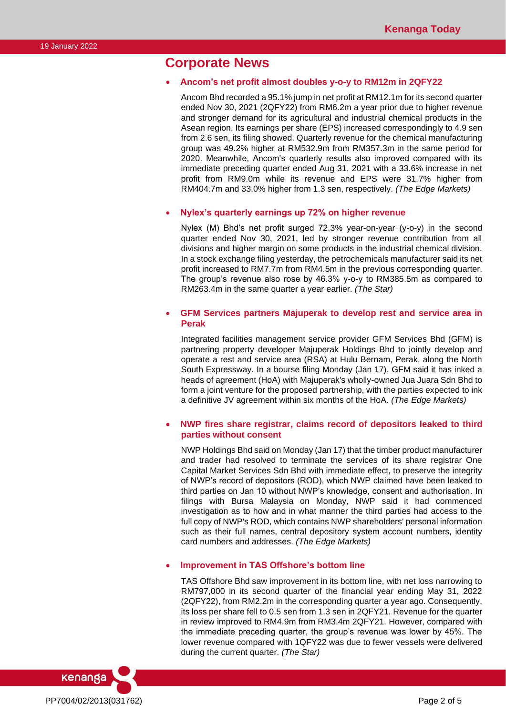## **Corporate News**

#### • **Ancom's net profit almost doubles y-o-y to RM12m in 2QFY22**

Ancom Bhd recorded a 95.1% jump in net profit at RM12.1m for its second quarter ended Nov 30, 2021 (2QFY22) from RM6.2m a year prior due to higher revenue and stronger demand for its agricultural and industrial chemical products in the Asean region. Its earnings per share (EPS) increased correspondingly to 4.9 sen from 2.6 sen, its filing showed. Quarterly revenue for the chemical manufacturing group was 49.2% higher at RM532.9m from RM357.3m in the same period for 2020. Meanwhile, Ancom's quarterly results also improved compared with its immediate preceding quarter ended Aug 31, 2021 with a 33.6% increase in net profit from RM9.0m while its revenue and EPS were 31.7% higher from RM404.7m and 33.0% higher from 1.3 sen, respectively. *(The Edge Markets)*

#### • **Nylex's quarterly earnings up 72% on higher revenue**

Nylex (M) Bhd's net profit surged 72.3% year-on-year (y-o-y) in the second quarter ended Nov 30, 2021, led by stronger revenue contribution from all divisions and higher margin on some products in the industrial chemical division. In a stock exchange filing yesterday, the petrochemicals manufacturer said its net profit increased to RM7.7m from RM4.5m in the previous corresponding quarter. The group's revenue also rose by 46.3% y-o-y to RM385.5m as compared to RM263.4m in the same quarter a year earlier. *(The Star)*

#### • **GFM Services partners Majuperak to develop rest and service area in Perak**

Integrated facilities management service provider GFM Services Bhd (GFM) is partnering property developer Majuperak Holdings Bhd to jointly develop and operate a rest and service area (RSA) at Hulu Bernam, Perak, along the North South Expressway. In a bourse filing Monday (Jan 17), GFM said it has inked a heads of agreement (HoA) with Majuperak's wholly-owned Jua Juara Sdn Bhd to form a joint venture for the proposed partnership, with the parties expected to ink a definitive JV agreement within six months of the HoA. *(The Edge Markets)*

### • **NWP fires share registrar, claims record of depositors leaked to third parties without consent**

NWP Holdings Bhd said on Monday (Jan 17) that the timber product manufacturer and trader had resolved to terminate the services of its share registrar One Capital Market Services Sdn Bhd with immediate effect, to preserve the integrity of NWP's record of depositors (ROD), which NWP claimed have been leaked to third parties on Jan 10 without NWP's knowledge, consent and authorisation. In filings with Bursa Malaysia on Monday, NWP said it had commenced investigation as to how and in what manner the third parties had access to the full copy of NWP's ROD, which contains NWP shareholders' personal information such as their full names, central depository system account numbers, identity card numbers and addresses. *(The Edge Markets)*

#### • **Improvement in TAS Offshore's bottom line**

TAS Offshore Bhd saw improvement in its bottom line, with net loss narrowing to RM797,000 in its second quarter of the financial year ending May 31, 2022 (2QFY22), from RM2.2m in the corresponding quarter a year ago. Consequently, its loss per share fell to 0.5 sen from 1.3 sen in 2QFY21. Revenue for the quarter in review improved to RM4.9m from RM3.4m 2QFY21. However, compared with the immediate preceding quarter, the group's revenue was lower by 45%. The lower revenue compared with 1QFY22 was due to fewer vessels were delivered during the current quarter. *(The Star)*

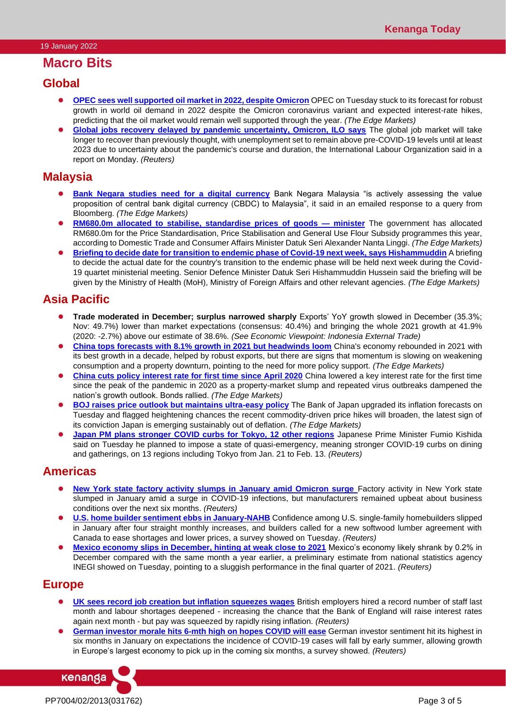## **Macro Bits**

## **Global**

- ⚫ **[OPEC sees well supported oil market in 2022, despite Omicron](https://www.theedgemarkets.com/article/opec-sees-well-supported-oil-market-2022-despite-omicron)** OPEC on Tuesday stuck to its forecast for robust growth in world oil demand in 2022 despite the Omicron coronavirus variant and expected interest-rate hikes, predicting that the oil market would remain well supported through the year. *(The Edge Markets)*
- [Global jobs recovery delayed by pandemic uncertainty, Omicron, ILO says](https://www.reuters.com/business/global-jobs-recovery-delayed-by-pandemic-uncertainty-omicron-ilo-says-2022-01-17/) The global job market will take longer to recover than previously thought, with unemployment set to remain above pre-COVID-19 levels until at least 2023 due to uncertainty about the pandemic's course and duration, the International Labour Organization said in a report on Monday. *(Reuters)*

## **Malaysia**

- [Bank Negara studies need for a digital currency](https://www.theedgemarkets.com/article/bank-negara-studies-need-digital-currency) Bank Negara Malaysia "is actively assessing the value proposition of central bank digital currency (CBDC) to Malaysia", it said in an emailed response to a query from Bloomberg. *(The Edge Markets)*
- ⚫ **[RM680.0m allocated to stabilise, standardise prices of goods —](https://www.theedgemarkets.com/article/rm680m-allocated-stabilise-standardise-prices-goods-%E2%80%94-minister) minister** The government has allocated RM680.0m for the Price Standardisation, Price Stabilisation and General Use Flour Subsidy programmes this year, according to Domestic Trade and Consumer Affairs Minister Datuk Seri Alexander Nanta Linggi. *(The Edge Markets)*
- **[Briefing to decide date for transition to endemic phase of Covid-19 next week, says Hishammuddin](https://www.theedgemarkets.com/article/briefing-decide-date-transition-endemic-phase-covid19-next-week-says-hishammuddin)** A briefing to decide the actual date for the country's transition to the endemic phase will be held next week during the Covid-19 quartet ministerial meeting. Senior Defence Minister Datuk Seri Hishammuddin Hussein said the briefing will be given by the Ministry of Health (MoH), Ministry of Foreign Affairs and other relevant agencies. *(The Edge Markets)*

# **Asia Pacific**

- ⚫ **Trade moderated in December; surplus narrowed sharply** Exports' YoY growth slowed in December (35.3%; Nov: 49.7%) lower than market expectations (consensus: 40.4%) and bringing the whole 2021 growth at 41.9% (2020: -2.7%) above our estimate of 38.6%. *(See Economic Viewpoint: Indonesia External Trade)*
- ⚫ **[China tops forecasts with 8.1% growth in 2021 but headwinds loom](https://www.theedgemarkets.com/article/chinas-economy-loses-steam-covid19-erupts-cbank-cuts-rates)** China's economy rebounded in 2021 with its best growth in a decade, helped by robust exports, but there are signs that momentum is slowing on weakening consumption and a property downturn, pointing to the need for more policy support. *(The Edge Markets)*
- **[China cuts policy interest rate for first time since April 2020](https://www.theedgemarkets.com/article/china-cuts-policy-interest-rate-first-time-april-2020)** China lowered a key interest rate for the first time since the peak of the pandemic in 2020 as a property-market slump and repeated virus outbreaks dampened the nation's growth outlook. Bonds rallied. *(The Edge Markets)*
- ⚫ **[BOJ raises price outlook but maintains ultra-easy policy](https://www.theedgemarkets.com/article/boj-raises-inflation-forecasts-maintains-ultraeasy-policy)** The Bank of Japan upgraded its inflation forecasts on Tuesday and flagged heightening chances the recent commodity-driven price hikes will broaden, the latest sign of its conviction Japan is emerging sustainably out of deflation. *(The Edge Markets)*
- **[Japan PM plans stronger COVID curbs for Tokyo, 12 other regions](https://www.reuters.com/article/us-coronavirus-japan-kishida/japan-pm-plans-stronger-covid-curbs-for-tokyo-12-other-regions-idUSKBN2JS0S0)** Japanese Prime Minister Fumio Kishida said on Tuesday he planned to impose a state of quasi-emergency, meaning stronger COVID-19 curbs on dining and gatherings, on 13 regions including Tokyo from Jan. 21 to Feb. 13. *(Reuters)*

# **Americas**

- ⚫ **[New York state factory activity slumps in January amid Omicron surge](https://www.reuters.com/world/us/new-york-state-factory-activity-slumps-january-amid-omicron-surge-2022-01-18/)** Factory activity in New York state slumped in January amid a surge in COVID-19 infections, but manufacturers remained upbeat about business conditions over the next six months. *(Reuters)*
- **[U.S. home builder sentiment ebbs in January-NAHB](https://www.reuters.com/business/us-home-builder-sentiment-ebbs-january-nahb-2022-01-18/)** Confidence among U.S. single-family homebuilders slipped in January after four straight monthly increases, and builders called for a new softwood lumber agreement with Canada to ease shortages and lower prices, a survey showed on Tuesday. *(Reuters)*
- **[Mexico economy slips in December, hinting at weak close to 2021](https://www.reuters.com/article/mexico-economy-gdp/mexico-economy-slips-in-december-hinting-at-weak-close-to-2021-idUSKBN2JS10U)** Mexico's economy likely shrank by 0.2% in December compared with the same month a year earlier, a preliminary estimate from national statistics agency INEGI showed on Tuesday, pointing to a sluggish performance in the final quarter of 2021. *(Reuters)*

# **Europe**

- ⚫ **[UK sees record job creation but inflation squeezes wages](https://www.reuters.com/article/britain-economy-unemployment/uk-sees-record-job-creation-but-inflation-squeezes-wages-idUSKBN2JS0EE)** British employers hired a record number of staff last month and labour shortages deepened - increasing the chance that the Bank of England will raise interest rates again next month - but pay was squeezed by rapidly rising inflation. *(Reuters)*
- ⚫ **[German investor morale hits 6-mth high on hopes COVID will ease](https://www.reuters.com/article/germany-economy-zew/german-investor-morale-hits-6-mth-high-on-hopes-covid-will-ease-idUSKBN2JS0P9)** German investor sentiment hit its highest in six months in January on expectations the incidence of COVID-19 cases will fall by early summer, allowing growth in Europe's largest economy to pick up in the coming six months, a survey showed. *(Reuters)*

PP7004/02/2013(031762) Page 3 of 5

kenanga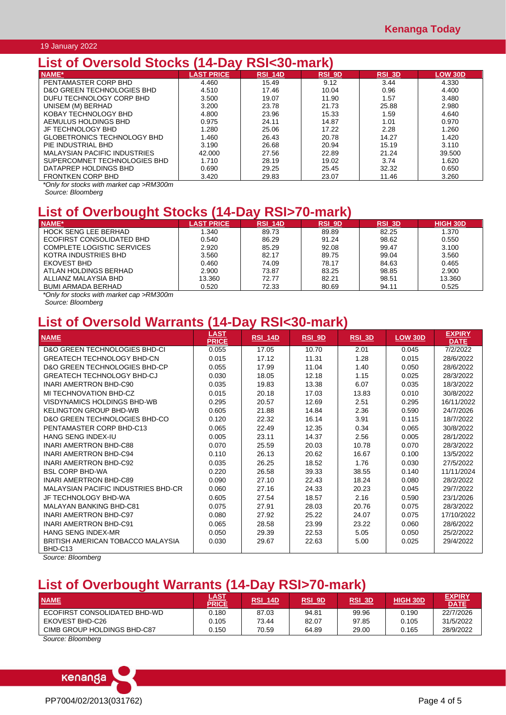#### 19 January 2022

# **List of Oversold Stocks (14-Day RSI<30-mark)**

| NAME*                               | <b>LAST PRICE</b> | RSI 14D | <b>RSI 9D</b> | <b>RSI 3D</b> | <b>LOW 30D</b> |
|-------------------------------------|-------------------|---------|---------------|---------------|----------------|
| PENTAMASTER CORP BHD                | 4.460             | 15.49   | 9.12          | 3.44          | 4.330          |
| D&O GREEN TECHNOLOGIES BHD          | 4.510             | 17.46   | 10.04         | 0.96          | 4.400          |
| DUFU TECHNOLOGY CORP BHD            | 3.500             | 19.07   | 11.90         | 1.57          | 3.480          |
| UNISEM (M) BERHAD                   | 3.200             | 23.78   | 21.73         | 25.88         | 2.980          |
| KOBAY TECHNOLOGY BHD                | 4.800             | 23.96   | 15.33         | 1.59          | 4.640          |
| AEMULUS HOLDINGS BHD                | 0.975             | 24.11   | 14.87         | 1.01          | 0.970          |
| JF TECHNOLOGY BHD                   | 1.280             | 25.06   | 17.22         | 2.28          | 1.260          |
| GLOBETRONICS TECHNOLOGY BHD         | 1.460             | 26.43   | 20.78         | 14.27         | 1.420          |
| PIF INDUSTRIAL BHD                  | 3.190             | 26.68   | 20.94         | 15.19         | 3.110          |
| <b>MALAYSIAN PACIFIC INDUSTRIES</b> | 42.000            | 27.56   | 22.89         | 21.24         | 39.500         |
| SUPERCOMNET TECHNOLOGIES BHD        | 1.710             | 28.19   | 19.02         | 3.74          | 1.620          |
| DATAPREP HOLDINGS BHD               | 0.690             | 29.25   | 25.45         | 32.32         | 0.650          |
| <b>FRONTKEN CORP BHD</b>            | 3.420             | 29.83   | 23.07         | 11.46         | 3.260          |

*\*Only for stocks with market cap >RM300m Source: Bloomberg*

# **List of Overbought Stocks (14-Day RSI>70-mark)**

| NAME*                       | <b>LAST PRICE</b> | <b>RSI 14D</b> | <b>RSI 9D</b> | <b>RSI 3D</b> | <b>HIGH 30D</b> |
|-----------------------------|-------------------|----------------|---------------|---------------|-----------------|
| <b>HOCK SENG LEE BERHAD</b> | 1.340             | 89.73          | 89.89         | 82.25         | 1.370           |
| ECOFIRST CONSOLIDATED BHD   | 0.540             | 86.29          | 91.24         | 98.62         | 0.550           |
| COMPLETE LOGISTIC SERVICES  | 2.920             | 85.29          | 92.08         | 99.47         | 3.100           |
| KOTRA INDUSTRIES BHD        | 3.560             | 82.17          | 89.75         | 99.04         | 3.560           |
| EKOVEST BHD                 | 0.460             | 74.09          | 78.17         | 84.63         | 0.465           |
| ATLAN HOLDINGS BERHAD       | 2.900             | 73.87          | 83.25         | 98.85         | 2.900           |
| ALLIANZ MALAYSIA BHD        | 13.360            | 72.77          | 82.21         | 98.51         | 13.360          |
| BUMI ARMADA BERHAD          | 0.520             | 72.33          | 80.69         | 94.11         | 0.525           |

*\*Only for stocks with market cap >RM300m*

*Source: Bloomberg*

# **List of Oversold Warrants (14-Day RSI<30-mark)**

| <b>NAME</b>                                  | <b>LAST</b><br><b>PRICE</b> | <b>RSI 14D</b> | $RSI$ 9D | $RSI$ 3D | <b>LOW 30D</b> | <b>EXPIRY</b><br><b>DATE</b> |
|----------------------------------------------|-----------------------------|----------------|----------|----------|----------------|------------------------------|
| D&O GREEN TECHNOLOGIES BHD-CI                | 0.055                       | 17.05          | 10.70    | 2.01     | 0.045          | 7/2/2022                     |
| <b>GREATECH TECHNOLOGY BHD-CN</b>            | 0.015                       | 17.12          | 11.31    | 1.28     | 0.015          | 28/6/2022                    |
| D&O GREEN TECHNOLOGIES BHD-CP                | 0.055                       | 17.99          | 11.04    | 1.40     | 0.050          | 28/6/2022                    |
| <b>GREATECH TECHNOLOGY BHD-CJ</b>            | 0.030                       | 18.05          | 12.18    | 1.15     | 0.025          | 28/3/2022                    |
| INARI AMERTRON BHD-C90                       | 0.035                       | 19.83          | 13.38    | 6.07     | 0.035          | 18/3/2022                    |
| MI TECHNOVATION BHD-CZ                       | 0.015                       | 20.18          | 17.03    | 13.83    | 0.010          | 30/8/2022                    |
| VISDYNAMICS HOLDINGS BHD-WB                  | 0.295                       | 20.57          | 12.69    | 2.51     | 0.295          | 16/11/2022                   |
| <b>KELINGTON GROUP BHD-WB</b>                | 0.605                       | 21.88          | 14.84    | 2.36     | 0.590          | 24/7/2026                    |
| D&O GREEN TECHNOLOGIES BHD-CO                | 0.120                       | 22.32          | 16.14    | 3.91     | 0.115          | 18/7/2022                    |
| PENTAMASTER CORP BHD-C13                     | 0.065                       | 22.49          | 12.35    | 0.34     | 0.065          | 30/8/2022                    |
| HANG SENG INDEX-IU                           | 0.005                       | 23.11          | 14.37    | 2.56     | 0.005          | 28/1/2022                    |
| <b>INARI AMERTRON BHD-C88</b>                | 0.070                       | 25.59          | 20.03    | 10.78    | 0.070          | 28/3/2022                    |
| <b>INARI AMERTRON BHD-C94</b>                | 0.110                       | 26.13          | 20.62    | 16.67    | 0.100          | 13/5/2022                    |
| <b>INARI AMERTRON BHD-C92</b>                | 0.035                       | 26.25          | 18.52    | 1.76     | 0.030          | 27/5/2022                    |
| <b>BSL CORP BHD-WA</b>                       | 0.220                       | 26.58          | 39.33    | 38.55    | 0.140          | 11/11/2024                   |
| <b>INARI AMERTRON BHD-C89</b>                | 0.090                       | 27.10          | 22.43    | 18.24    | 0.080          | 28/2/2022                    |
| <b>MALAYSIAN PACIFIC INDUSTRIES BHD-CR</b>   | 0.060                       | 27.16          | 24.33    | 20.23    | 0.045          | 29/7/2022                    |
| JF TECHNOLOGY BHD-WA                         | 0.605                       | 27.54          | 18.57    | 2.16     | 0.590          | 23/1/2026                    |
| <b>MALAYAN BANKING BHD-C81</b>               | 0.075                       | 27.91          | 28.03    | 20.76    | 0.075          | 28/3/2022                    |
| <b>INARI AMERTRON BHD-C97</b>                | 0.080                       | 27.92          | 25.22    | 24.07    | 0.075          | 17/10/2022                   |
| <b>INARI AMERTRON BHD-C91</b>                | 0.065                       | 28.58          | 23.99    | 23.22    | 0.060          | 28/6/2022                    |
| <b>HANG SENG INDEX-MR</b>                    | 0.050                       | 29.39          | 22.53    | 5.05     | 0.050          | 25/2/2022                    |
| BRITISH AMERICAN TOBACCO MALAYSIA<br>BHD-C13 | 0.030                       | 29.67          | 22.63    | 5.00     | 0.025          | 29/4/2022                    |

*Source: Bloomberg*

# **List of Overbought Warrants (14-Day RSI>70-mark)**

| <b>NAME</b>                  | <u>LAST</u><br>PRICE | <b>RSI 14D</b> | RSI 9D | <b>RSI 3D</b> | <b>HIGH 30D</b> | <b>EXPIRY</b><br><b>DATE</b> |
|------------------------------|----------------------|----------------|--------|---------------|-----------------|------------------------------|
| ECOFIRST CONSOLIDATED BHD-WD | 0.180                | 87.03          | 94.81  | 99.96         | 0.190           | 22/7/2026                    |
| EKOVEST BHD-C26              | 0.105                | 73.44          | 82.07  | 97.85         | 0.105           | 31/5/2022                    |
| CIMB GROUP HOLDINGS BHD-C87  | 0.150                | 70.59          | 64.89  | 29.00         | 0.165           | 28/9/2022                    |
| $\sim$<br>$\sim$             |                      |                |        |               |                 |                              |

*Source: Bloomberg*